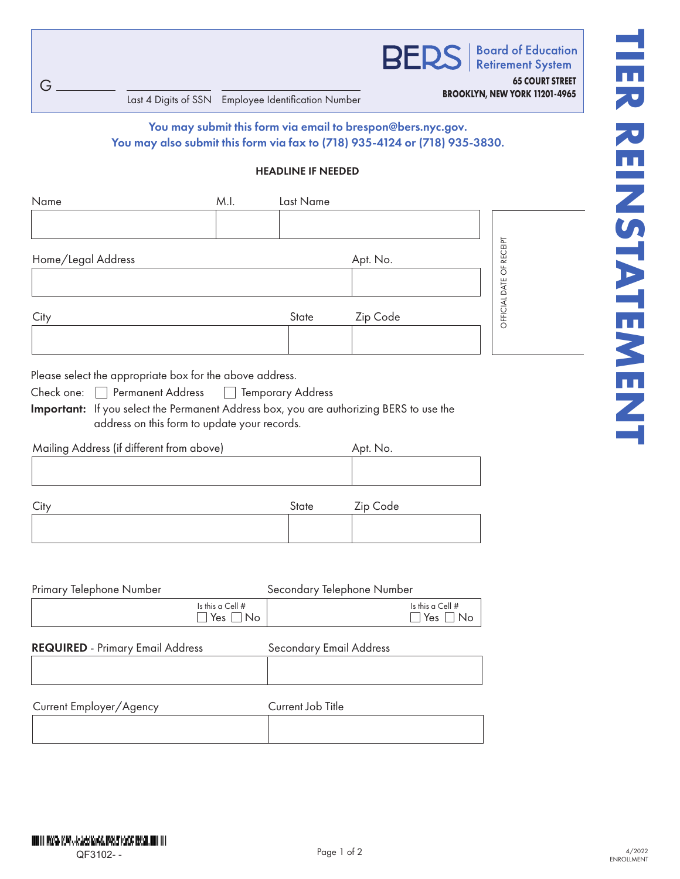G

**BROOKLYN, NEW YORK 11201-4965**<br>Last 4 Digits of SSN Employee Identification Number

## You may submit this form via email to brespon@bers.nyc.gov. You may also submit this form via fax to (718) 935-4124 or (718) 935-3830.

**BEI** 

## HEADLINE IF NEEDED

| Name               | M.I. | Last Name |          |                |
|--------------------|------|-----------|----------|----------------|
|                    |      |           |          |                |
| Home/Legal Address |      |           | Apt. No. | RECEIPT        |
|                    |      |           |          | $\overline{O}$ |
| City               |      | State     | Zip Code | OFFICIAL DATE  |
|                    |      |           |          |                |

Please select the appropriate box for the above address.

| Check one: | Permanent Address | Temporary Address |
|------------|-------------------|-------------------|
|            |                   |                   |

Important: If you select the Permanent Address box, you are authorizing BERS to use the address on this form to update your records.

| Mailing Address (if different from above) | Apt. No.      |                            |
|-------------------------------------------|---------------|----------------------------|
|                                           |               |                            |
|                                           |               |                            |
| $\sim$                                    | $\sim$ $\sim$ | $\overline{\phantom{a}}$ . |

| City | State | Zip Code |
|------|-------|----------|
|      |       |          |
|      |       |          |

| Primary Telephone Number                         | Secondary Telephone Number                 |
|--------------------------------------------------|--------------------------------------------|
| Is this a Cell $#$<br>$\square$ Yes $\square$ No | Is this a Cell $#$<br>$\Box$ Yes $\Box$ No |
| <b>REQUIRED</b> - Primary Email Address          | Secondary Email Address                    |
|                                                  |                                            |
| Current Employer/Agency                          | Current Job Title                          |
|                                                  |                                            |

**65 COURT STREET**

**Board of Education** 

**Retirement System**